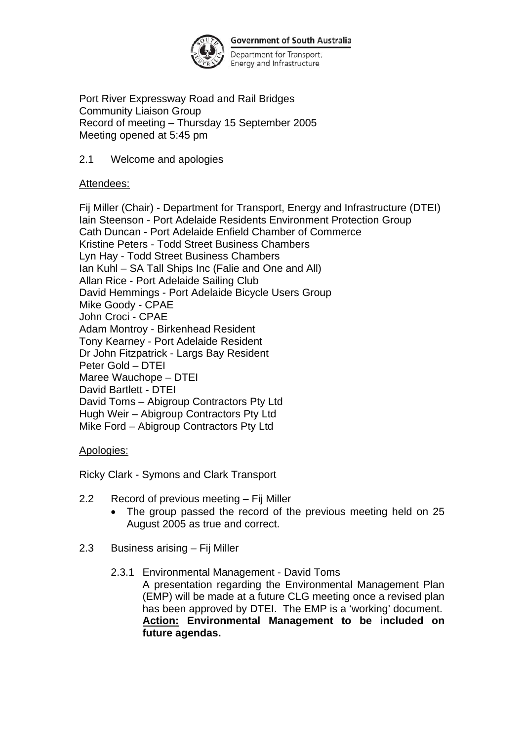

**Government of South Australia** 

Department for Transport, Energy and Infrastructure

Port River Expressway Road and Rail Bridges Community Liaison Group Record of meeting – Thursday 15 September 2005 Meeting opened at 5:45 pm

### 2.1 Welcome and apologies

#### Attendees:

Fij Miller (Chair) - Department for Transport, Energy and Infrastructure (DTEI) Iain Steenson - Port Adelaide Residents Environment Protection Group Cath Duncan - Port Adelaide Enfield Chamber of Commerce Kristine Peters - Todd Street Business Chambers Lyn Hay - Todd Street Business Chambers Ian Kuhl – SA Tall Ships Inc (Falie and One and All) Allan Rice - Port Adelaide Sailing Club David Hemmings - Port Adelaide Bicycle Users Group Mike Goody - CPAE John Croci - CPAE Adam Montroy - Birkenhead Resident Tony Kearney - Port Adelaide Resident Dr John Fitzpatrick - Largs Bay Resident Peter Gold – DTEI Maree Wauchope – DTEI David Bartlett - DTEI David Toms – Abigroup Contractors Pty Ltd Hugh Weir – Abigroup Contractors Pty Ltd Mike Ford – Abigroup Contractors Pty Ltd

# Apologies:

Ricky Clark - Symons and Clark Transport

- 2.2 Record of previous meeting Fij Miller
	- The group passed the record of the previous meeting held on 25 August 2005 as true and correct.
- 2.3 Business arising Fij Miller
	- 2.3.1 Environmental Management David Toms A presentation regarding the Environmental Management Plan (EMP) will be made at a future CLG meeting once a revised plan has been approved by DTEI. The EMP is a 'working' document. **Action: Environmental Management to be included on future agendas.**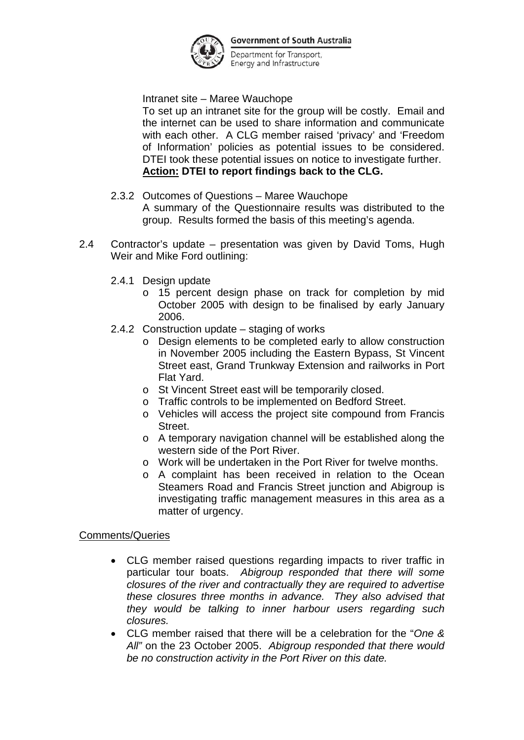

**Government of South Australia** 

Department for Transport, Energy and Infrastructure

Intranet site – Maree Wauchope

To set up an intranet site for the group will be costly. Email and the internet can be used to share information and communicate with each other. A CLG member raised 'privacy' and 'Freedom of Information' policies as potential issues to be considered. DTEI took these potential issues on notice to investigate further. **Action: DTEI to report findings back to the CLG.** 

- 2.3.2 Outcomes of Questions Maree Wauchope A summary of the Questionnaire results was distributed to the group. Results formed the basis of this meeting's agenda.
- 2.4 Contractor's update presentation was given by David Toms, Hugh Weir and Mike Ford outlining:
	- 2.4.1 Design update
		- o 15 percent design phase on track for completion by mid October 2005 with design to be finalised by early January 2006.
	- 2.4.2 Construction update staging of works
		- o Design elements to be completed early to allow construction in November 2005 including the Eastern Bypass, St Vincent Street east, Grand Trunkway Extension and railworks in Port Flat Yard.
		- o St Vincent Street east will be temporarily closed.
		- o Traffic controls to be implemented on Bedford Street.
		- o Vehicles will access the project site compound from Francis Street.
		- o A temporary navigation channel will be established along the western side of the Port River.
		- o Work will be undertaken in the Port River for twelve months.
		- o A complaint has been received in relation to the Ocean Steamers Road and Francis Street junction and Abigroup is investigating traffic management measures in this area as a matter of urgency.

Comments/Queries

- CLG member raised questions regarding impacts to river traffic in particular tour boats. *Abigroup responded that there will some closures of the river and contractually they are required to advertise these closures three months in advance. They also advised that they would be talking to inner harbour users regarding such closures.*
- CLG member raised that there will be a celebration for the "*One & All"* on the 23 October 2005. *Abigroup responded that there would be no construction activity in the Port River on this date.*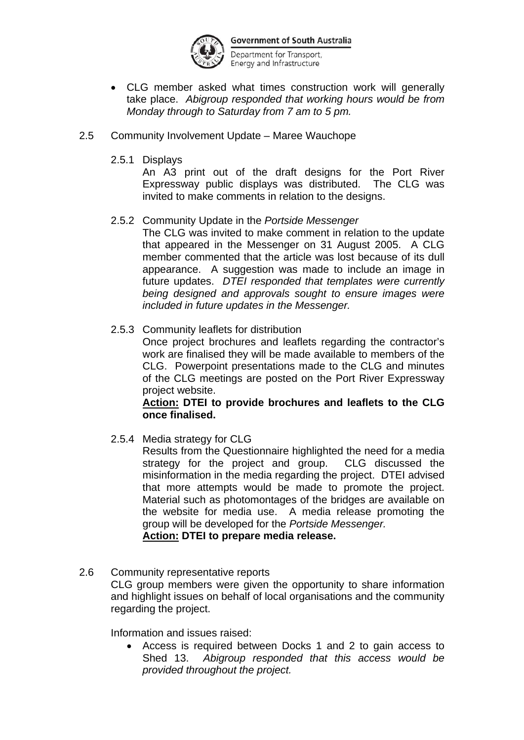

Department for Transport, Energy and Infrastructure

- CLG member asked what times construction work will generally take place. *Abigroup responded that working hours would be from Monday through to Saturday from 7 am to 5 pm.*
- 2.5 Community Involvement Update Maree Wauchope
	- 2.5.1 Displays

An A3 print out of the draft designs for the Port River Expressway public displays was distributed. The CLG was invited to make comments in relation to the designs.

2.5.2 Community Update in the *Portside Messenger* 

The CLG was invited to make comment in relation to the update that appeared in the Messenger on 31 August 2005. A CLG member commented that the article was lost because of its dull appearance. A suggestion was made to include an image in future updates. *DTEI responded that templates were currently being designed and approvals sought to ensure images were included in future updates in the Messenger.* 

2.5.3 Community leaflets for distribution

Once project brochures and leaflets regarding the contractor's work are finalised they will be made available to members of the CLG. Powerpoint presentations made to the CLG and minutes of the CLG meetings are posted on the Port River Expressway project website.

#### **Action: DTEI to provide brochures and leaflets to the CLG once finalised.**

2.5.4 Media strategy for CLG

Results from the Questionnaire highlighted the need for a media strategy for the project and group. CLG discussed the misinformation in the media regarding the project. DTEI advised that more attempts would be made to promote the project. Material such as photomontages of the bridges are available on the website for media use. A media release promoting the group will be developed for the *Portside Messenger.* 

# **Action: DTEI to prepare media release.**

2.6 Community representative reports CLG group members were given the opportunity to share information and highlight issues on behalf of local organisations and the community regarding the project.

Information and issues raised:

• Access is required between Docks 1 and 2 to gain access to Shed 13. *Abigroup responded that this access would be provided throughout the project.*